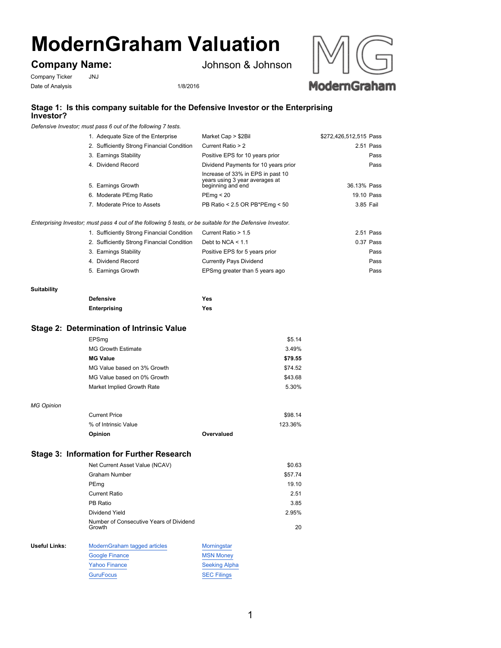# **ModernGraham Valuation**

# **Company Name:**

Johnson & Johnson

Company Ticker JNJ Date of Analysis 1/8/2016



## **Stage 1: Is this company suitable for the Defensive Investor or the Enterprising Investor?**

*Defensive Investor; must pass 6 out of the following 7 tests.*

| 1. Adequate Size of the Enterprise         | Market Cap > \$2Bil                                                                      | \$272,426,512,515 Pass |
|--------------------------------------------|------------------------------------------------------------------------------------------|------------------------|
| 2. Sufficiently Strong Financial Condition | Current Ratio > 2                                                                        | 2.51 Pass              |
| 3. Earnings Stability                      | Positive EPS for 10 years prior                                                          | Pass                   |
| 4. Dividend Record                         | Dividend Payments for 10 years prior                                                     | Pass                   |
| 5. Earnings Growth                         | Increase of 33% in EPS in past 10<br>years using 3 year averages at<br>beginning and end | 36.13% Pass            |
| 6. Moderate PEmg Ratio                     | PEma < 20                                                                                | 19.10 Pass             |
| 7. Moderate Price to Assets                | PB Ratio < 2.5 OR PB*PEmg < 50                                                           | 3.85 Fail              |
|                                            |                                                                                          |                        |

*Enterprising Investor; must pass 4 out of the following 5 tests, or be suitable for the Defensive Investor.*

| 1. Sufficiently Strong Financial Condition | Current Ratio > 1.5            | 2.51 Pass |
|--------------------------------------------|--------------------------------|-----------|
| 2. Sufficiently Strong Financial Condition | Debt to NCA $< 1.1$            | 0.37 Pass |
| 3. Earnings Stability                      | Positive EPS for 5 years prior | Pass      |
| 4. Dividend Record                         | <b>Currently Pays Dividend</b> | Pass      |
| 5. Earnings Growth                         | EPSmg greater than 5 years ago | Pass      |

#### **Suitability**

| <b>Defensive</b> | Yes |
|------------------|-----|
| Enterprising     | Yes |

#### **Stage 2: Determination of Intrinsic Value**

|                      | EPSmg                                             | \$5.14               |
|----------------------|---------------------------------------------------|----------------------|
|                      | <b>MG Growth Estimate</b>                         | 3.49%                |
|                      | <b>MG Value</b>                                   | \$79.55              |
|                      | MG Value based on 3% Growth                       | \$74.52              |
|                      | MG Value based on 0% Growth                       | \$43.68              |
|                      | Market Implied Growth Rate                        | 5.30%                |
| <b>MG Opinion</b>    |                                                   |                      |
|                      | <b>Current Price</b>                              | \$98.14              |
|                      | % of Intrinsic Value                              | 123.36%              |
|                      | Opinion                                           | Overvalued           |
|                      | <b>Stage 3: Information for Further Research</b>  |                      |
|                      | Net Current Asset Value (NCAV)                    | \$0.63               |
|                      | <b>Graham Number</b>                              | \$57.74              |
|                      | PEmg                                              | 19.10                |
|                      | <b>Current Ratio</b>                              | 2.51                 |
|                      | PB Ratio                                          | 3.85                 |
|                      | Dividend Yield                                    | 2.95%                |
|                      | Number of Consecutive Years of Dividend<br>Growth | 20                   |
| <b>Useful Links:</b> | ModernGraham tagged articles                      | Morningstar          |
|                      | <b>Google Finance</b>                             | <b>MSN Money</b>     |
|                      | <b>Yahoo Finance</b>                              | <b>Seeking Alpha</b> |
|                      | <b>GuruFocus</b>                                  | <b>SEC Filings</b>   |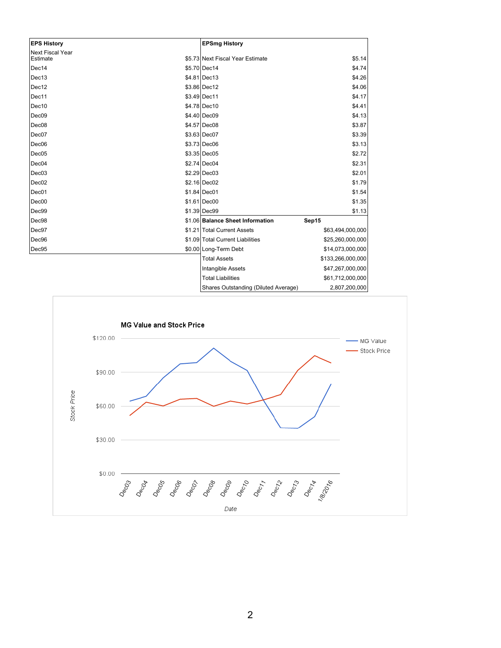| <b>EPS History</b>                  | <b>EPSmg History</b>             |                   |
|-------------------------------------|----------------------------------|-------------------|
| <b>Next Fiscal Year</b><br>Estimate | \$5.73 Next Fiscal Year Estimate | \$5.14            |
| Dec14                               | \$5.70 Dec14                     | \$4.74            |
| Dec13                               | \$4.81 Dec13                     | \$4.26            |
| Dec12                               | \$3.86 Dec12                     | \$4.06            |
| Dec11                               | \$3.49 Dec11                     | \$4.17            |
| Dec10                               | \$4.78 Dec10                     | \$4.41            |
| Dec <sub>09</sub>                   | \$4.40 Dec09                     | \$4.13            |
| Dec08                               | \$4.57 Dec08                     | \$3.87            |
| Dec07                               | \$3.63 Dec07                     | \$3.39            |
| Dec <sub>06</sub>                   | \$3.73 Dec06                     | \$3.13            |
| Dec05                               | \$3.35 Dec05                     | \$2.72            |
| Dec04                               | \$2.74 Dec04                     | \$2.31            |
| Dec03                               | \$2.29 Dec03                     | \$2.01            |
| Dec <sub>02</sub>                   | \$2.16 Dec02                     | \$1.79            |
| Dec01                               | $$1.84$ Dec01                    | \$1.54            |
| Dec00                               | \$1.61 Dec00                     | \$1.35            |
| Dec99                               | \$1.39 Dec99                     | \$1.13            |
| Dec98                               | \$1.06 Balance Sheet Information | Sep15             |
| Dec97                               | \$1.21 Total Current Assets      | \$63,494,000,000  |
| Dec96                               | \$1.09 Total Current Liabilities | \$25,260,000,000  |
| Dec95                               | \$0.00 Long-Term Debt            | \$14,073,000,000  |
|                                     | <b>Total Assets</b>              | \$133,266,000,000 |
|                                     | Intangible Assets                | \$47,267,000,000  |
|                                     | <b>Total Liabilities</b>         | \$61,712,000,000  |
|                                     |                                  |                   |